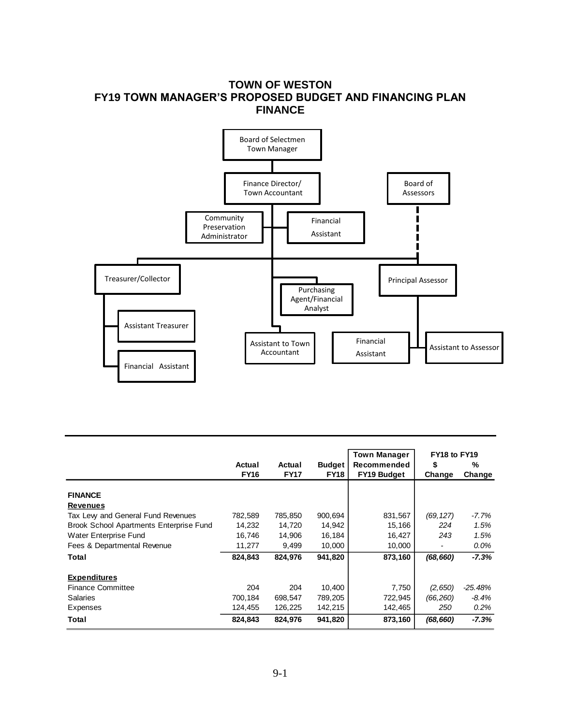## **TOWN OF WESTON FY19 TOWN MANAGER'S PROPOSED BUDGET AND FINANCING PLAN FINANCE**



|                                                |             |             |               | <b>Town Manager</b> | FY18 to FY19 |           |
|------------------------------------------------|-------------|-------------|---------------|---------------------|--------------|-----------|
|                                                | Actual      | Actual      | <b>Budget</b> | Recommended         | \$           | %         |
|                                                | <b>FY16</b> | <b>FY17</b> | <b>FY18</b>   | <b>FY19 Budget</b>  | Change       | Change    |
| <b>FINANCE</b>                                 |             |             |               |                     |              |           |
| <b>Revenues</b>                                |             |             |               |                     |              |           |
| Tax Lew and General Fund Revenues              | 782,589     | 785,850     | 900,694       | 831,567             | (69, 127)    | -7.7%     |
| <b>Brook School Apartments Enterprise Fund</b> | 14,232      | 14,720      | 14,942        | 15,166              | 224          | 1.5%      |
| Water Enterprise Fund                          | 16,746      | 14,906      | 16,184        | 16,427              | 243          | 1.5%      |
| Fees & Departmental Revenue                    | 11,277      | 9,499       | 10,000        | 10,000              |              | $0.0\%$   |
| Total                                          | 824,843     | 824,976     | 941,820       | 873,160             | (68, 660)    | $-7.3%$   |
| <b>Expenditures</b>                            |             |             |               |                     |              |           |
| <b>Finance Committee</b>                       | 204         | 204         | 10,400        | 7,750               | (2,650)      | $-25.48%$ |
| <b>Salaries</b>                                | 700,184     | 698,547     | 789,205       | 722,945             | (66, 260)    | -8.4%     |
| Expenses                                       | 124,455     | 126,225     | 142,215       | 142,465             | 250          | $0.2\%$   |
| Total                                          | 824,843     | 824,976     | 941,820       | 873,160             | (68, 660)    | $-7.3%$   |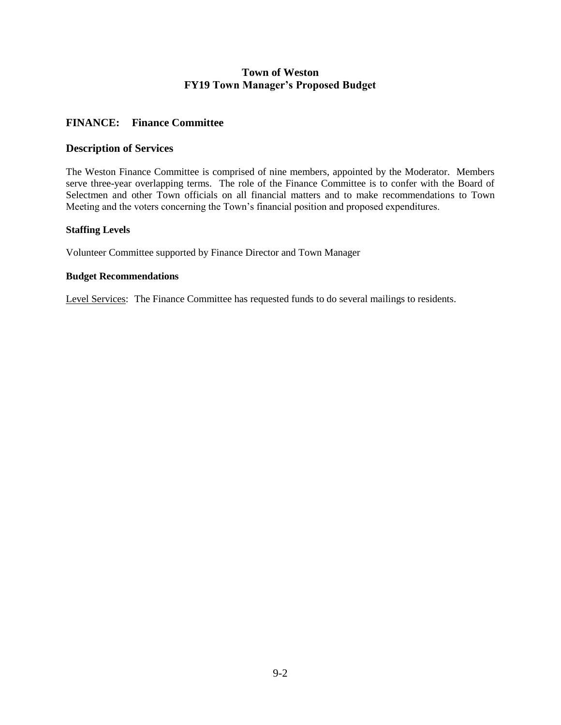### **FINANCE: Finance Committee**

#### **Description of Services**

The Weston Finance Committee is comprised of nine members, appointed by the Moderator. Members serve three-year overlapping terms. The role of the Finance Committee is to confer with the Board of Selectmen and other Town officials on all financial matters and to make recommendations to Town Meeting and the voters concerning the Town's financial position and proposed expenditures.

#### **Staffing Levels**

Volunteer Committee supported by Finance Director and Town Manager

#### **Budget Recommendations**

Level Services: The Finance Committee has requested funds to do several mailings to residents.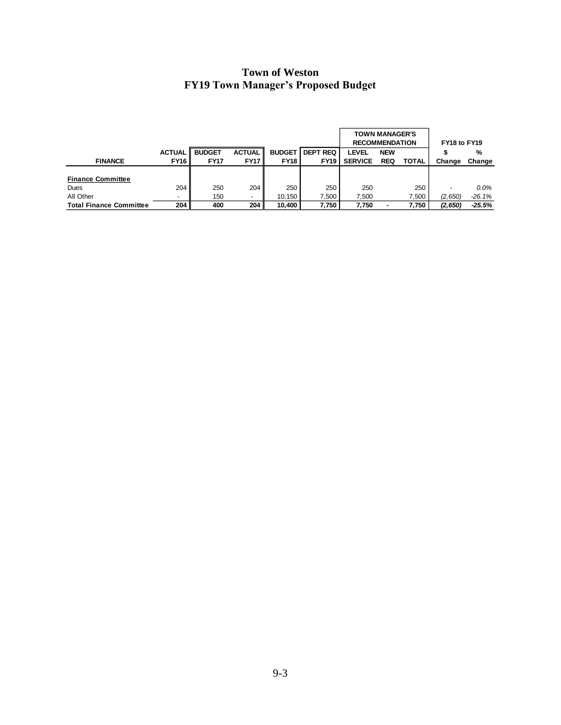|                                |               |               |                          |               |                 | <b>TOWN MANAGER'S</b><br><b>RECOMMENDATION</b> |            |              | FY18 to FY19 |          |
|--------------------------------|---------------|---------------|--------------------------|---------------|-----------------|------------------------------------------------|------------|--------------|--------------|----------|
|                                | <b>ACTUAL</b> | <b>BUDGET</b> | <b>ACTUAL</b>            | <b>BUDGET</b> | <b>DEPT REQ</b> | <b>LEVEL</b>                                   | <b>NEW</b> |              |              | %        |
| <b>FINANCE</b>                 | <b>FY16</b>   | <b>FY17</b>   | <b>FY17</b>              | <b>FY18</b>   | <b>FY19</b>     | <b>SERVICE</b>                                 | <b>REQ</b> | <b>TOTAL</b> | Change       | Change   |
|                                |               |               |                          |               |                 |                                                |            |              |              |          |
| <b>Finance Committee</b>       |               |               |                          |               |                 |                                                |            |              |              |          |
| Dues                           | 204           | 250           | 204                      | 250           | 250             | 250                                            |            | 250          |              | $0.0\%$  |
| All Other                      |               | 150           | $\overline{\phantom{a}}$ | 10.150        | .500            | 7.500                                          |            | 7,500        | (2,650)      | $-26.1%$ |
| <b>Total Finance Committee</b> | 204           | 400           | 204                      | 10.400        | 7.750           | 7.750                                          |            | 7.750        | (2,650)      | $-25.5%$ |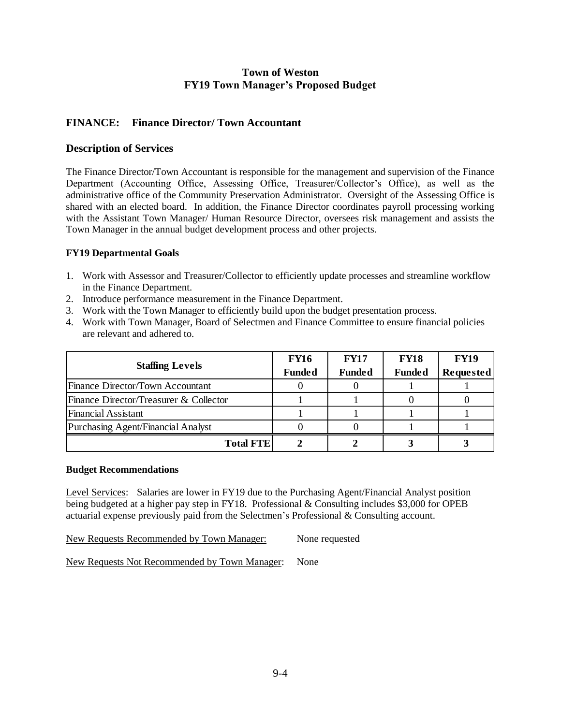## **FINANCE: Finance Director/ Town Accountant**

#### **Description of Services**

The Finance Director/Town Accountant is responsible for the management and supervision of the Finance Department (Accounting Office, Assessing Office, Treasurer/Collector's Office), as well as the administrative office of the Community Preservation Administrator. Oversight of the Assessing Office is shared with an elected board. In addition, the Finance Director coordinates payroll processing working with the Assistant Town Manager/ Human Resource Director, oversees risk management and assists the Town Manager in the annual budget development process and other projects.

#### **FY19 Departmental Goals**

- 1. Work with Assessor and Treasurer/Collector to efficiently update processes and streamline workflow in the Finance Department.
- 2. Introduce performance measurement in the Finance Department.
- 3. Work with the Town Manager to efficiently build upon the budget presentation process.
- 4. Work with Town Manager, Board of Selectmen and Finance Committee to ensure financial policies are relevant and adhered to.

|                                        | <b>FY16</b>   | <b>FY17</b>   | <b>FY18</b>   | <b>FY19</b> |
|----------------------------------------|---------------|---------------|---------------|-------------|
| <b>Staffing Levels</b>                 | <b>Funded</b> | <b>Funded</b> | <b>Funded</b> | Requested   |
| Finance Director/Town Accountant       |               |               |               |             |
| Finance Director/Treasurer & Collector |               |               |               |             |
| Financial Assistant                    |               |               |               |             |
| Purchasing Agent/Financial Analyst     |               |               |               |             |
| <b>Total FTE</b>                       |               |               |               |             |

#### **Budget Recommendations**

Level Services: Salaries are lower in FY19 due to the Purchasing Agent/Financial Analyst position being budgeted at a higher pay step in FY18. Professional & Consulting includes \$3,000 for OPEB actuarial expense previously paid from the Selectmen's Professional & Consulting account.

New Requests Recommended by Town Manager: None requested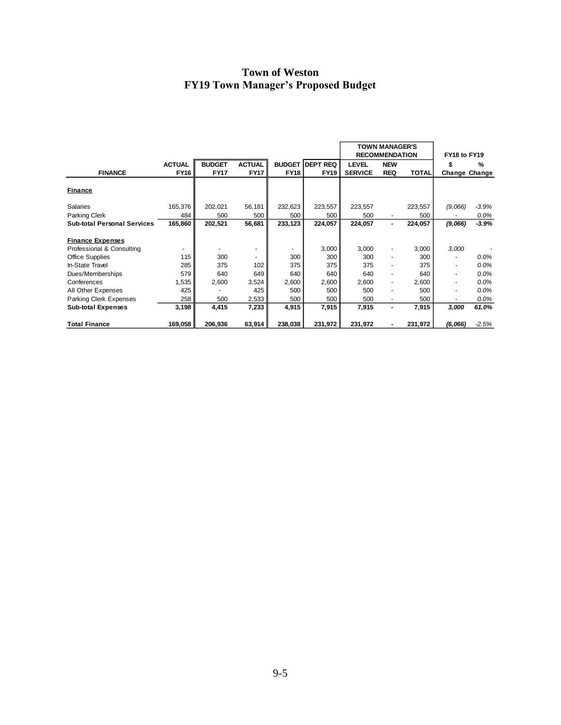|                                    |               |               |                          |               |                 | <b>TOWN MANAGER'S</b><br><b>RECOMMENDATION</b> |                          | FY18 to FY19 |               |         |
|------------------------------------|---------------|---------------|--------------------------|---------------|-----------------|------------------------------------------------|--------------------------|--------------|---------------|---------|
|                                    | <b>ACTUAL</b> | <b>BUDGET</b> | <b>ACTUAL</b>            | <b>BUDGET</b> | <b>DEPT REQ</b> | <b>LEVEL</b>                                   | <b>NEW</b>               |              |               | %       |
| <b>FINANCE</b>                     | <b>FY16</b>   | <b>FY17</b>   | <b>FY17</b>              | <b>FY18</b>   | <b>FY19</b>     | <b>SERVICE</b>                                 | <b>REQ</b>               | <b>TOTAL</b> | Change Change |         |
|                                    |               |               |                          |               |                 |                                                |                          |              |               |         |
| Finance                            |               |               |                          |               |                 |                                                |                          |              |               |         |
| Salaries                           | 165,376       | 202,021       | 56,181                   | 232,623       | 223,557         | 223,557                                        |                          | 223,557      | (9,066)       | $-3.9%$ |
| Parking Clerk                      | 484           | 500           | 500                      | 500           | 500             | 500                                            |                          | 500          |               | 0.0%    |
| <b>Sub-total Personal Services</b> | 165,860       | 202,521       | 56,681                   | 233,123       | 224,057         | 224,057                                        | ۰.                       | 224,057      | (9,066)       | $-3.9%$ |
| <b>Finance Expenses</b>            |               |               |                          |               |                 |                                                |                          |              |               |         |
| Professional & Consulting          | $\sim$        |               |                          |               | 3,000           | 3,000                                          |                          | 3,000        | 3,000         |         |
| Office Supplies                    | 115           | 300           | $\overline{\phantom{a}}$ | 300           | 300             | 300                                            | ۰.                       | 300          |               | 0.0%    |
| In-State Travel                    | 285           | 375           | 102                      | 375           | 375             | 375                                            |                          | 375          |               | $0.0\%$ |
| Dues/Memberships                   | 579           | 640           | 649                      | 640           | 640             | 640                                            |                          | 640          |               | 0.0%    |
| Conferences                        | 1,535         | 2,600         | 3,524                    | 2,600         | 2,600           | 2,600                                          | $\overline{\phantom{a}}$ | 2,600        | ۰             | 0.0%    |
| All Other Expenses                 | 425           |               | 425                      | 500           | 500             | 500                                            |                          | 500          |               | 0.0%    |
| Parking Clerk Expenses             | 258           | 500           | 2,533                    | 500           | 500             | 500                                            |                          | 500          |               | 0.0%    |
| <b>Sub-total Expenses</b>          | 3,198         | 4,415         | 7,233                    | 4,915         | 7,915           | 7,915                                          |                          | 7,915        | 3,000         | 61.0%   |
| <b>Total Finance</b>               | 169,058       | 206,936       | 63,914                   | 238,038       | 231,972         | 231,972                                        |                          | 231,972      | (6,066)       | $-2.5%$ |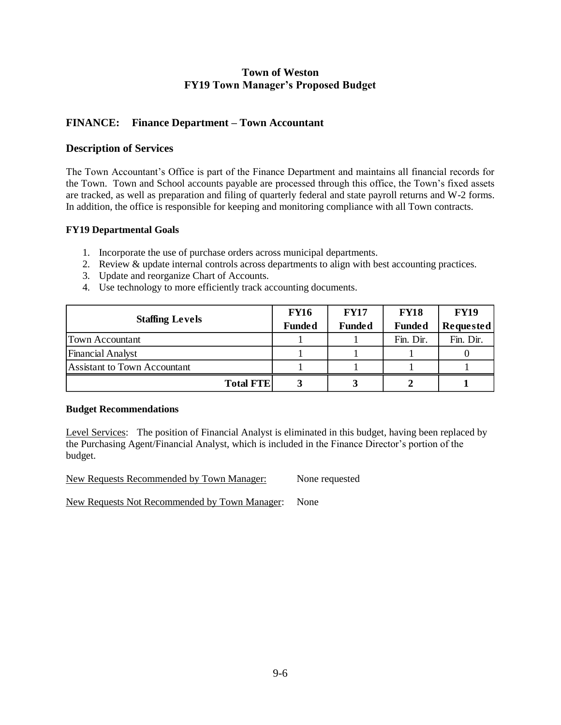## **FINANCE: Finance Department – Town Accountant**

#### **Description of Services**

The Town Accountant's Office is part of the Finance Department and maintains all financial records for the Town. Town and School accounts payable are processed through this office, the Town's fixed assets are tracked, as well as preparation and filing of quarterly federal and state payroll returns and W-2 forms. In addition, the office is responsible for keeping and monitoring compliance with all Town contracts.

#### **FY19 Departmental Goals**

- 1. Incorporate the use of purchase orders across municipal departments.
- 2. Review & update internal controls across departments to align with best accounting practices.
- 3. Update and reorganize Chart of Accounts.
- 4. Use technology to more efficiently track accounting documents.

|                              | <b>FY16</b>   | <b>FY17</b>   | <b>FY18</b>   | <b>FY19</b>      |
|------------------------------|---------------|---------------|---------------|------------------|
| <b>Staffing Levels</b>       | <b>Funded</b> | <b>Funded</b> | <b>Funded</b> | <b>Requested</b> |
| <b>Town Accountant</b>       |               |               | Fin. Dir.     | Fin. Dir.        |
| <b>Financial Analyst</b>     |               |               |               |                  |
| Assistant to Town Accountant |               |               |               |                  |
| <b>Total FTE</b>             |               |               |               |                  |

#### **Budget Recommendations**

Level Services: The position of Financial Analyst is eliminated in this budget, having been replaced by the Purchasing Agent/Financial Analyst, which is included in the Finance Director's portion of the budget.

New Requests Recommended by Town Manager: None requested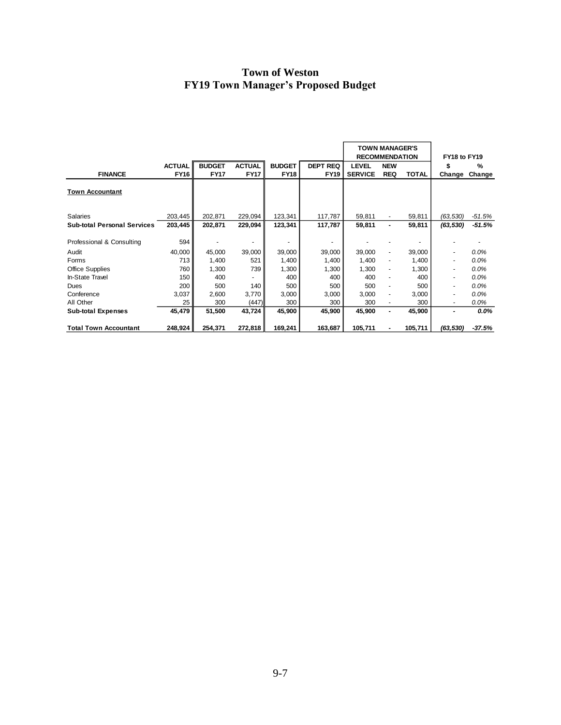|                                    |                  |               |               |               |                 | <b>TOWN MANAGER'S</b><br><b>RECOMMENDATION</b> |                              |              | FY18 to FY19 |          |  |
|------------------------------------|------------------|---------------|---------------|---------------|-----------------|------------------------------------------------|------------------------------|--------------|--------------|----------|--|
|                                    | <b>ACTUAL</b>    | <b>BUDGET</b> | <b>ACTUAL</b> | <b>BUDGET</b> | <b>DEPT REQ</b> | <b>LEVEL</b>                                   | <b>NEW</b>                   |              | \$           | %        |  |
| <b>FINANCE</b>                     | <b>FY16</b>      | <b>FY17</b>   | <b>FY17</b>   | <b>FY18</b>   | <b>FY19</b>     | <b>SERVICE</b>                                 | <b>REQ</b>                   | <b>TOTAL</b> | Change       | Change   |  |
| <b>Town Accountant</b>             |                  |               |               |               |                 |                                                |                              |              |              |          |  |
| <b>Salaries</b>                    | 203,445          | 202,871       | 229,094       | 123,341       | 117,787         | 59,811                                         |                              | 59,811       | (63, 530)    | $-51.5%$ |  |
| <b>Sub-total Personal Services</b> | 203,445          | 202,871       | 229,094       | 123,341       | 117,787         | 59,811                                         | ٠                            | 59,811       | (63, 530)    | $-51.5%$ |  |
| Professional & Consulting          | 594              |               |               |               |                 |                                                |                              |              |              |          |  |
| Audit                              | 40,000           | 45,000        | 39,000        | 39,000        | 39,000          | 39,000                                         | ٠                            | 39,000       |              | 0.0%     |  |
| Forms                              | 713              | 1,400         | 521           | 1,400         | 1,400           | 1,400                                          | ۰                            | 1,400        |              | 0.0%     |  |
| <b>Office Supplies</b>             | 760              | 1,300         | 739           | 1,300         | 1,300           | 1,300                                          | ٠                            | 1,300        |              | 0.0%     |  |
| In-State Travel                    | 150 <sub>1</sub> | 400           |               | 400           | 400             | 400                                            | ٠                            | 400          |              | 0.0%     |  |
| <b>Dues</b>                        | 200              | 500           | 140           | 500           | 500             | 500                                            | $\qquad \qquad \blacksquare$ | 500          | ٠            | 0.0%     |  |
| Conference                         | 3,037            | 2,600         | 3,770         | 3,000         | 3,000           | 3.000                                          | ٠                            | 3,000        |              | $0.0\%$  |  |
| All Other                          | 25               | 300           | (447)         | 300           | 300             | 300                                            | $\overline{\phantom{a}}$     | 300          | ٠            | $0.0\%$  |  |
| <b>Sub-total Expenses</b>          | 45,479           | 51,500        | 43,724        | 45,900        | 45,900          | 45,900                                         | $\blacksquare$               | 45,900       | ۰            | $0.0\%$  |  |
| <b>Total Town Accountant</b>       | 248,924          | 254,371       | 272,818       | 169,241       | 163,687         | 105,711                                        |                              | 105,711      | (63, 530)    | $-37.5%$ |  |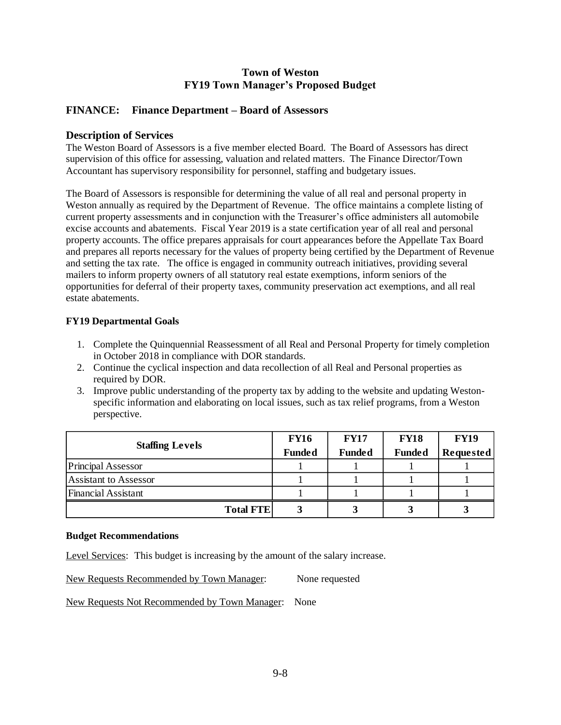## **FINANCE: Finance Department – Board of Assessors**

#### **Description of Services**

The Weston Board of Assessors is a five member elected Board. The Board of Assessors has direct supervision of this office for assessing, valuation and related matters. The Finance Director/Town Accountant has supervisory responsibility for personnel, staffing and budgetary issues.

The Board of Assessors is responsible for determining the value of all real and personal property in Weston annually as required by the Department of Revenue. The office maintains a complete listing of current property assessments and in conjunction with the Treasurer's office administers all automobile excise accounts and abatements. Fiscal Year 2019 is a state certification year of all real and personal property accounts. The office prepares appraisals for court appearances before the Appellate Tax Board and prepares all reports necessary for the values of property being certified by the Department of Revenue and setting the tax rate. The office is engaged in community outreach initiatives, providing several mailers to inform property owners of all statutory real estate exemptions, inform seniors of the opportunities for deferral of their property taxes, community preservation act exemptions, and all real estate abatements.

#### **FY19 Departmental Goals**

- 1. Complete the Quinquennial Reassessment of all Real and Personal Property for timely completion in October 2018 in compliance with DOR standards.
- 2. Continue the cyclical inspection and data recollection of all Real and Personal properties as required by DOR.
- 3. Improve public understanding of the property tax by adding to the website and updating Westonspecific information and elaborating on local issues, such as tax relief programs, from a Weston perspective.

|                           | <b>FY16</b>   | <b>FY17</b>   | <b>FY18</b>   | <b>FY19</b> |
|---------------------------|---------------|---------------|---------------|-------------|
| <b>Staffing Levels</b>    | <b>Funded</b> | <b>Funded</b> | <b>Funded</b> | Requested   |
| <b>Principal Assessor</b> |               |               |               |             |
| Assistant to Assessor     |               |               |               |             |
| Financial Assistant       |               |               |               |             |
| <b>Total FTE</b>          |               |               |               |             |

#### **Budget Recommendations**

Level Services: This budget is increasing by the amount of the salary increase.

New Requests Recommended by Town Manager: None requested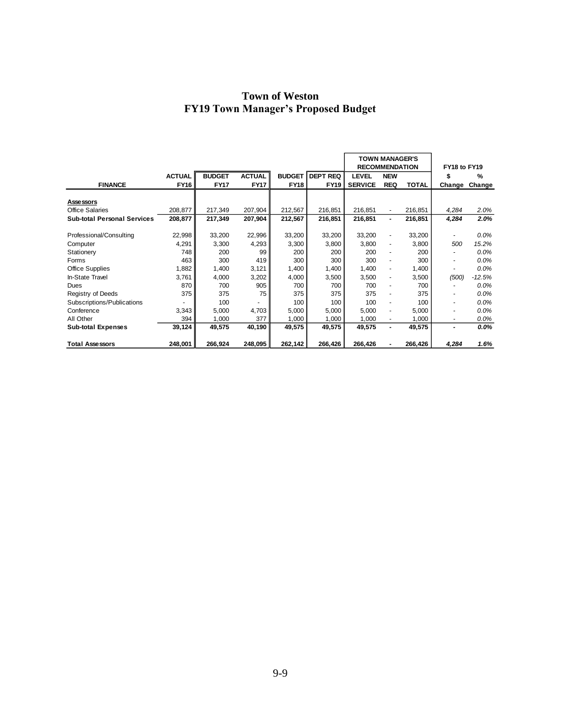|                                    |               |               |               |               |                 | <b>TOWN MANAGER'S</b><br><b>RECOMMENDATION</b> |                              |              | FY18 to FY19             |          |
|------------------------------------|---------------|---------------|---------------|---------------|-----------------|------------------------------------------------|------------------------------|--------------|--------------------------|----------|
|                                    | <b>ACTUAL</b> | <b>BUDGET</b> | <b>ACTUAL</b> | <b>BUDGET</b> | <b>DEPT REQ</b> | <b>LEVEL</b>                                   | <b>NEW</b>                   |              | \$                       | %        |
| <b>FINANCE</b>                     | <b>FY16</b>   | <b>FY17</b>   | <b>FY17</b>   | <b>FY18</b>   | <b>FY19</b>     | <b>SERVICE</b>                                 | <b>REQ</b>                   | <b>TOTAL</b> | Change                   | Change   |
|                                    |               |               |               |               |                 |                                                |                              |              |                          |          |
| <b>Assessors</b>                   |               |               |               |               |                 |                                                |                              |              |                          |          |
| <b>Office Salaries</b>             | 208,877       | 217,349       | 207,904       | 212,567       | 216,851         | 216,851                                        | $\overline{\phantom{a}}$     | 216,851      | 4,284                    | 2.0%     |
| <b>Sub-total Personal Services</b> | 208,877       | 217,349       | 207,904       | 212,567       | 216,851         | 216,851                                        |                              | 216,851      | 4,284                    | 2.0%     |
|                                    |               |               |               |               |                 |                                                |                              |              |                          |          |
| Professional/Consulting            | 22,998        | 33,200        | 22,996        | 33,200        | 33,200          | 33,200                                         | $\qquad \qquad \blacksquare$ | 33,200       |                          | $0.0\%$  |
| Computer                           | 4,291         | 3,300         | 4,293         | 3,300         | 3,800           | 3,800                                          | ۰                            | 3,800        | 500                      | 15.2%    |
| Stationery                         | 748           | 200           | 99            | 200           | 200             | 200                                            | ٠                            | 200          |                          | 0.0%     |
| Forms                              | 463           | 300           | 419           | 300           | 300             | 300                                            | -                            | 300          | $\overline{\phantom{a}}$ | 0.0%     |
| <b>Office Supplies</b>             | 1,882         | 1,400         | 3,121         | 1,400         | 1,400           | 1,400                                          | $\overline{\phantom{a}}$     | 1,400        | $\overline{\phantom{a}}$ | 0.0%     |
| In-State Travel                    | 3,761         | 4,000         | 3,202         | 4,000         | 3,500           | 3,500                                          | $\qquad \qquad \blacksquare$ | 3,500        | (500)                    | $-12.5%$ |
| Dues                               | 870           | 700           | 905           | 700           | 700             | 700                                            | ٠                            | 700          |                          | $0.0\%$  |
| Registry of Deeds                  | 375           | 375           | 75            | 375           | 375             | 375                                            | ٠                            | 375          | $\overline{\phantom{a}}$ | 0.0%     |
| Subscriptions/Publications         |               | 100           |               | 100           | 100             | 100                                            | ٠                            | 100          | -                        | 0.0%     |
| Conference                         | 3,343         | 5,000         | 4,703         | 5,000         | 5,000           | 5,000                                          | -                            | 5,000        |                          | $0.0\%$  |
| All Other                          | 394           | 1,000         | 377           | 1,000         | 1,000           | 1,000                                          | ٠                            | 1,000        | ۰                        | $0.0\%$  |
| <b>Sub-total Expenses</b>          | 39,124        | 49,575        | 40,190        | 49,575        | 49,575          | 49,575                                         | $\blacksquare$               | 49,575       |                          | 0.0%     |
|                                    |               |               |               |               |                 |                                                |                              |              |                          |          |
| <b>Total Assessors</b>             | 248,001       | 266,924       | 248,095       | 262,142       | 266,426         | 266,426                                        |                              | 266,426      | 4,284                    | 1.6%     |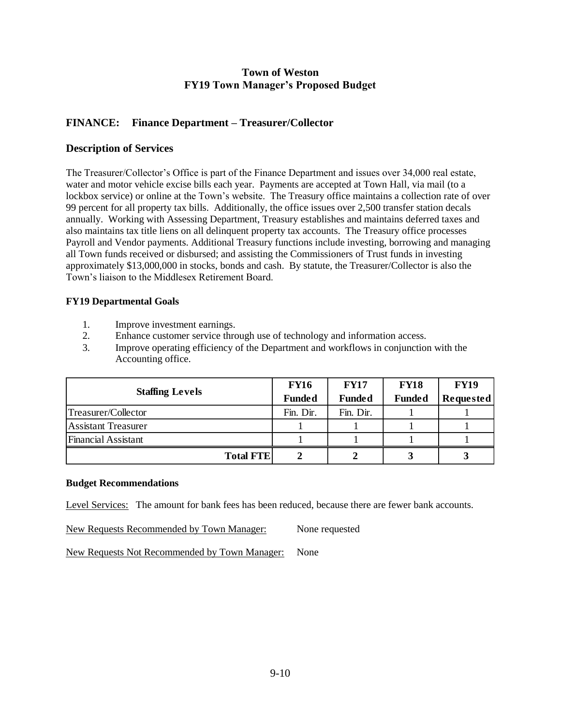## **FINANCE: Finance Department – Treasurer/Collector**

## **Description of Services**

The Treasurer/Collector's Office is part of the Finance Department and issues over 34,000 real estate, water and motor vehicle excise bills each year. Payments are accepted at Town Hall, via mail (to a lockbox service) or online at the Town's website. The Treasury office maintains a collection rate of over 99 percent for all property tax bills. Additionally, the office issues over 2,500 transfer station decals annually. Working with Assessing Department, Treasury establishes and maintains deferred taxes and also maintains tax title liens on all delinquent property tax accounts. The Treasury office processes Payroll and Vendor payments. Additional Treasury functions include investing, borrowing and managing all Town funds received or disbursed; and assisting the Commissioners of Trust funds in investing approximately \$13,000,000 in stocks, bonds and cash. By statute, the Treasurer/Collector is also the Town's liaison to the Middlesex Retirement Board.

### **FY19 Departmental Goals**

- 1. Improve investment earnings.
- 2. Enhance customer service through use of technology and information access.
- 3. Improve operating efficiency of the Department and workflows in conjunction with the Accounting office.

|                            | <b>FY16</b>   | <b>FY17</b>   | <b>FY18</b>   | <b>FY19</b> |
|----------------------------|---------------|---------------|---------------|-------------|
| <b>Staffing Levels</b>     | <b>Funded</b> | <b>Funded</b> | <b>Funded</b> | Requested   |
| Treasurer/Collector        | Fin. Dir.     | Fin. Dir.     |               |             |
| <b>Assistant Treasurer</b> |               |               |               |             |
| Financial Assistant        |               |               |               |             |
| <b>Total FTE</b>           |               |               |               |             |

#### **Budget Recommendations**

Level Services: The amount for bank fees has been reduced, because there are fewer bank accounts.

New Requests Recommended by Town Manager: None requested